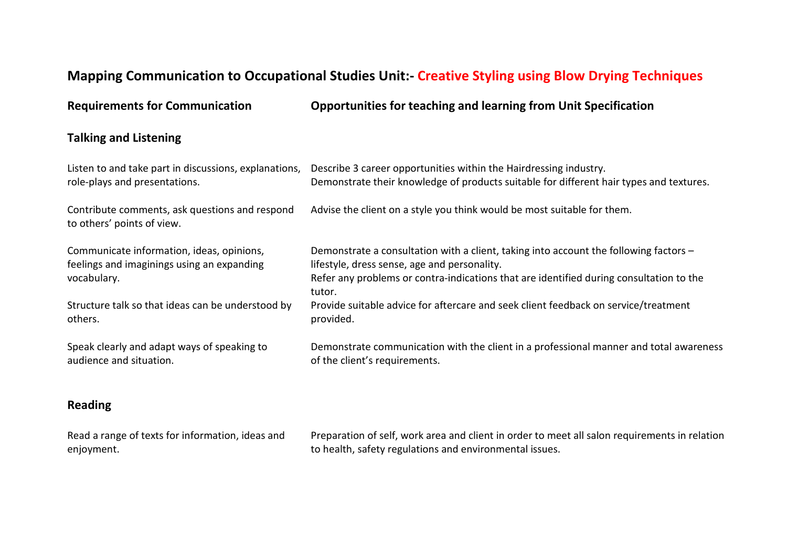## **Mapping Communication to Occupational Studies Unit:- Creative Styling using Blow Drying Techniques**

**Requirements for Communication Opportunities for teaching and learning from Unit Specification**

## **Talking and Listening**

| Listen to and take part in discussions, explanations,                                                  | Describe 3 career opportunities within the Hairdressing industry.                                                                                                                                                                          |
|--------------------------------------------------------------------------------------------------------|--------------------------------------------------------------------------------------------------------------------------------------------------------------------------------------------------------------------------------------------|
| role-plays and presentations.                                                                          | Demonstrate their knowledge of products suitable for different hair types and textures.                                                                                                                                                    |
| Contribute comments, ask questions and respond<br>to others' points of view.                           | Advise the client on a style you think would be most suitable for them.                                                                                                                                                                    |
| Communicate information, ideas, opinions,<br>feelings and imaginings using an expanding<br>vocabulary. | Demonstrate a consultation with a client, taking into account the following factors -<br>lifestyle, dress sense, age and personality.<br>Refer any problems or contra-indications that are identified during consultation to the<br>tutor. |
| Structure talk so that ideas can be understood by                                                      | Provide suitable advice for aftercare and seek client feedback on service/treatment                                                                                                                                                        |
| others.                                                                                                | provided.                                                                                                                                                                                                                                  |
| Speak clearly and adapt ways of speaking to                                                            | Demonstrate communication with the client in a professional manner and total awareness                                                                                                                                                     |
| audience and situation.                                                                                | of the client's requirements.                                                                                                                                                                                                              |

## **Reading**

| Read a range of texts for information, ideas and | Preparation of self, work area and client in order to meet all salon requirements in relation |
|--------------------------------------------------|-----------------------------------------------------------------------------------------------|
| enjoyment.                                       | to health, safety regulations and environmental issues.                                       |